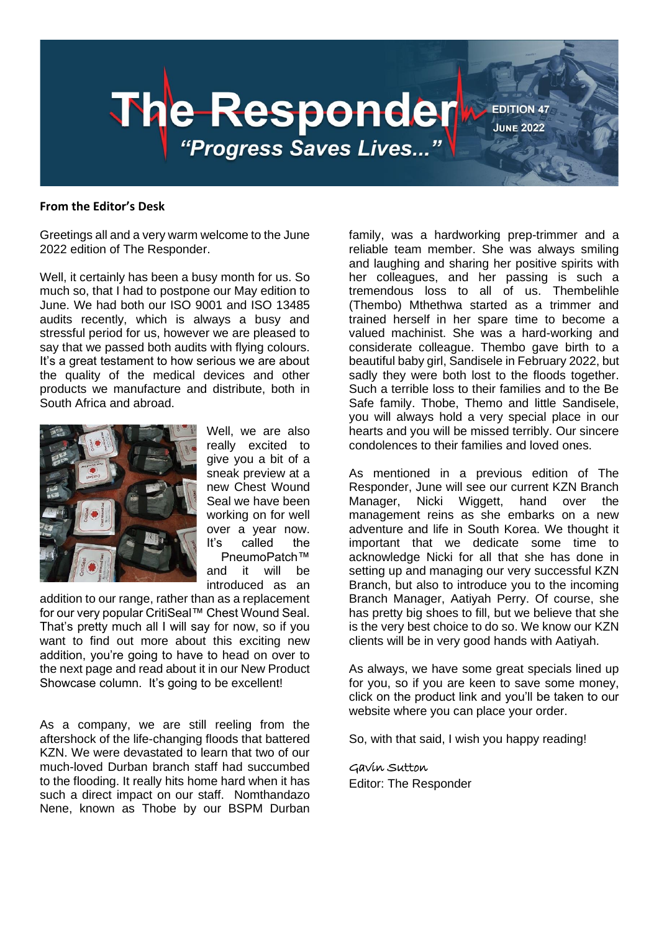

#### **From the Editor's Desk**

Greetings all and a very warm welcome to the June 2022 edition of The Responder.

Well, it certainly has been a busy month for us. So much so, that I had to postpone our May edition to June. We had both our ISO 9001 and ISO 13485 audits recently, which is always a busy and stressful period for us, however we are pleased to say that we passed both audits with flying colours. It's a great testament to how serious we are about the quality of the medical devices and other products we manufacture and distribute, both in South Africa and abroad.



Well, we are also really excited to give you a bit of a sneak preview at a new Chest Wound Seal we have been working on for well over a year now. It's called the PneumoPatch™ and it will be introduced as an

addition to our range, rather than as a replacement for our very popular CritiSeal™ Chest Wound Seal. That's pretty much all I will say for now, so if you want to find out more about this exciting new addition, you're going to have to head on over to the next page and read about it in our New Product Showcase column. It's going to be excellent!

As a company, we are still reeling from the aftershock of the life-changing floods that battered KZN. We were devastated to learn that two of our much-loved Durban branch staff had succumbed to the flooding. It really hits home hard when it has such a direct impact on our staff. Nomthandazo Nene, known as Thobe by our BSPM Durban family, was a hardworking prep-trimmer and a reliable team member. She was always smiling and laughing and sharing her positive spirits with her colleagues, and her passing is such a tremendous loss to all of us. Thembelihle (Thembo) Mthethwa started as a trimmer and trained herself in her spare time to become a valued machinist. She was a hard-working and considerate colleague. Thembo gave birth to a beautiful baby girl, Sandisele in February 2022, but sadly they were both lost to the floods together. Such a terrible loss to their families and to the Be Safe family. Thobe, Themo and little Sandisele, you will always hold a very special place in our hearts and you will be missed terribly. Our sincere condolences to their families and loved ones.

As mentioned in a previous edition of The Responder, June will see our current KZN Branch Manager, Nicki Wiggett, hand over the management reins as she embarks on a new adventure and life in South Korea. We thought it important that we dedicate some time to acknowledge Nicki for all that she has done in setting up and managing our very successful KZN Branch, but also to introduce you to the incoming Branch Manager, Aatiyah Perry. Of course, she has pretty big shoes to fill, but we believe that she is the very best choice to do so. We know our KZN clients will be in very good hands with Aatiyah.

As always, we have some great specials lined up for you, so if you are keen to save some money, click on the product link and you'll be taken to our website where you can place your order.

So, with that said, I wish you happy reading!

### Gavin Sutton

Editor: The Responder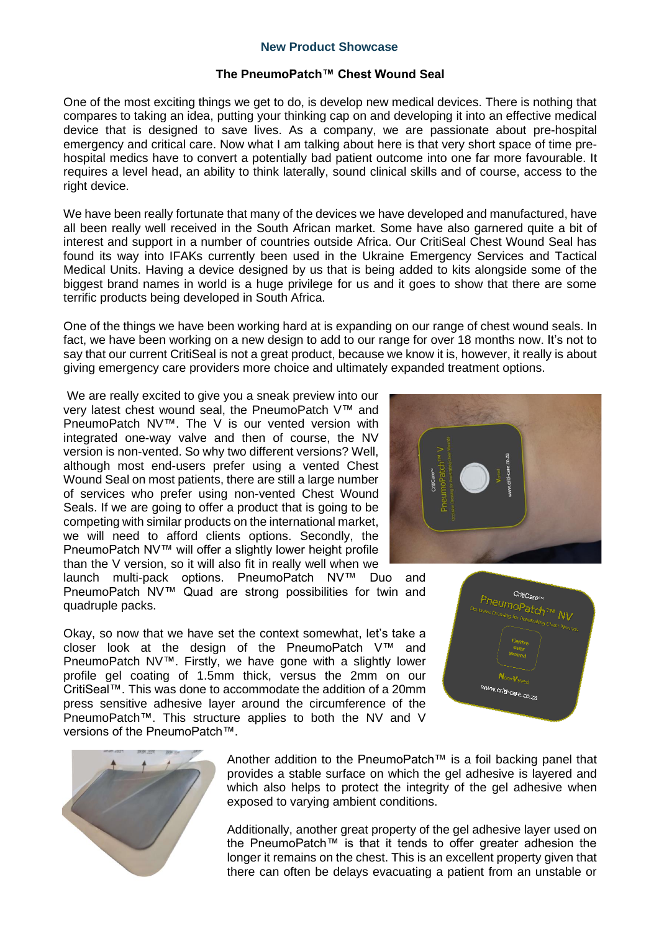### **New Product Showcase**

### **The PneumoPatch™ Chest Wound Seal**

One of the most exciting things we get to do, is develop new medical devices. There is nothing that compares to taking an idea, putting your thinking cap on and developing it into an effective medical device that is designed to save lives. As a company, we are passionate about pre-hospital emergency and critical care. Now what I am talking about here is that very short space of time prehospital medics have to convert a potentially bad patient outcome into one far more favourable. It requires a level head, an ability to think laterally, sound clinical skills and of course, access to the right device.

We have been really fortunate that many of the devices we have developed and manufactured, have all been really well received in the South African market. Some have also garnered quite a bit of interest and support in a number of countries outside Africa. Our CritiSeal Chest Wound Seal has found its way into IFAKs currently been used in the Ukraine Emergency Services and Tactical Medical Units. Having a device designed by us that is being added to kits alongside some of the biggest brand names in world is a huge privilege for us and it goes to show that there are some terrific products being developed in South Africa.

One of the things we have been working hard at is expanding on our range of chest wound seals. In fact, we have been working on a new design to add to our range for over 18 months now. It's not to say that our current CritiSeal is not a great product, because we know it is, however, it really is about giving emergency care providers more choice and ultimately expanded treatment options.

We are really excited to give you a sneak preview into our very latest chest wound seal, the PneumoPatch V™ and PneumoPatch NV™. The V is our vented version with integrated one-way valve and then of course, the NV version is non-vented. So why two different versions? Well, although most end-users prefer using a vented Chest Wound Seal on most patients, there are still a large number of services who prefer using non-vented Chest Wound Seals. If we are going to offer a product that is going to be competing with similar products on the international market, we will need to afford clients options. Secondly, the PneumoPatch NV™ will offer a slightly lower height profile than the V version, so it will also fit in really well when we

launch multi-pack options. PneumoPatch NV™ Duo and PneumoPatch NV™ Quad are strong possibilities for twin and quadruple packs.

Okay, so now that we have set the context somewhat, let's take a closer look at the design of the PneumoPatch V™ and PneumoPatch NV™. Firstly, we have gone with a slightly lower profile gel coating of 1.5mm thick, versus the 2mm on our CritiSeal™. This was done to accommodate the addition of a 20mm press sensitive adhesive layer around the circumference of the PneumoPatch™. This structure applies to both the NV and V versions of the PneumoPatch™.



Additionally, another great property of the gel adhesive layer used on the PneumoPatch™ is that it tends to offer greater adhesion the longer it remains on the chest. This is an excellent property given that there can often be delays evacuating a patient from an unstable or





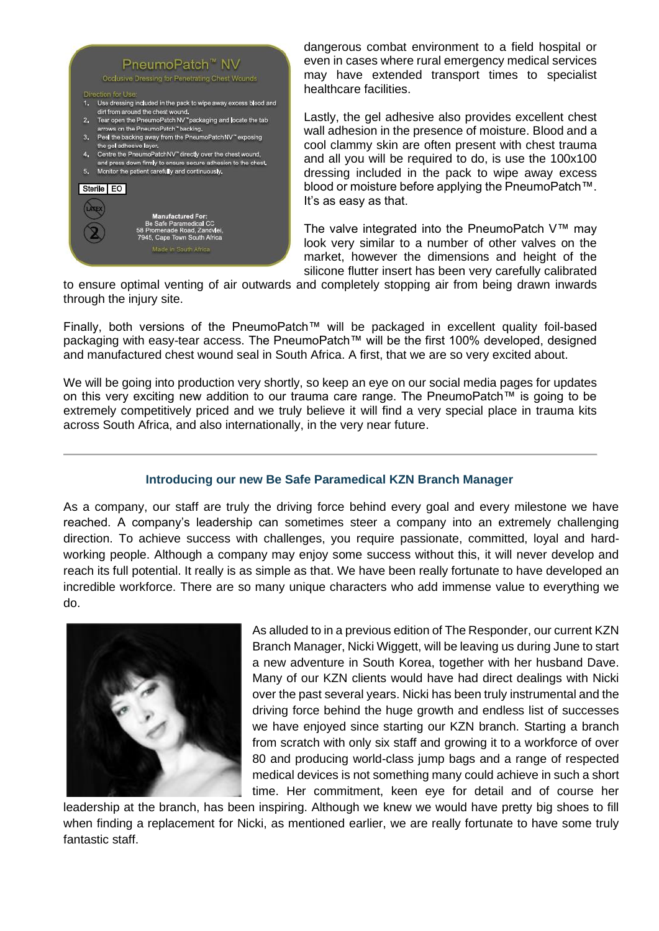#### PneumoPatch<sup>™</sup> NV Occlusive Dressing for Penetrating Chest Wounds

#### Direction for Use

- 1. Use dressing included in the pack to wipe away excess blood and dirt from around the chest wound.
- Tear open the PneumoPatch NV "packaging and locate the tab arrows on the PneumoPatch" backing.
- 3. Peel the backing away from the PneumoPatchNV" exposing the gel adhesive layer.
- Centre the PneumoPatchNV" directly over the chest wound, nd press down firmly to ensure secure adhesion to the chest, 5. Monitor the patient carefully and continuously.



dangerous combat environment to a field hospital or even in cases where rural emergency medical services may have extended transport times to specialist healthcare facilities.

Lastly, the gel adhesive also provides excellent chest wall adhesion in the presence of moisture. Blood and a cool clammy skin are often present with chest trauma and all you will be required to do, is use the 100x100 dressing included in the pack to wipe away excess blood or moisture before applying the PneumoPatch™. It's as easy as that.

The valve integrated into the PneumoPatch V™ may look very similar to a number of other valves on the market, however the dimensions and height of the silicone flutter insert has been very carefully calibrated

to ensure optimal venting of air outwards and completely stopping air from being drawn inwards through the injury site.

Finally, both versions of the PneumoPatch™ will be packaged in excellent quality foil-based packaging with easy-tear access. The PneumoPatch™ will be the first 100% developed, designed and manufactured chest wound seal in South Africa. A first, that we are so very excited about.

We will be going into production very shortly, so keep an eye on our social media pages for updates on this very exciting new addition to our trauma care range. The PneumoPatch™ is going to be extremely competitively priced and we truly believe it will find a very special place in trauma kits across South Africa, and also internationally, in the very near future.

### **Introducing our new Be Safe Paramedical KZN Branch Manager**

As a company, our staff are truly the driving force behind every goal and every milestone we have reached. A company's leadership can sometimes steer a company into an extremely challenging direction. To achieve success with challenges, you require passionate, committed, loyal and hardworking people. Although a company may enjoy some success without this, it will never develop and reach its full potential. It really is as simple as that. We have been really fortunate to have developed an incredible workforce. There are so many unique characters who add immense value to everything we do.



As alluded to in a previous edition of The Responder, our current KZN Branch Manager, Nicki Wiggett, will be leaving us during June to start a new adventure in South Korea, together with her husband Dave. Many of our KZN clients would have had direct dealings with Nicki over the past several years. Nicki has been truly instrumental and the driving force behind the huge growth and endless list of successes we have enjoyed since starting our KZN branch. Starting a branch from scratch with only six staff and growing it to a workforce of over 80 and producing world-class jump bags and a range of respected medical devices is not something many could achieve in such a short time. Her commitment, keen eye for detail and of course her

leadership at the branch, has been inspiring. Although we knew we would have pretty big shoes to fill when finding a replacement for Nicki, as mentioned earlier, we are really fortunate to have some truly fantastic staff.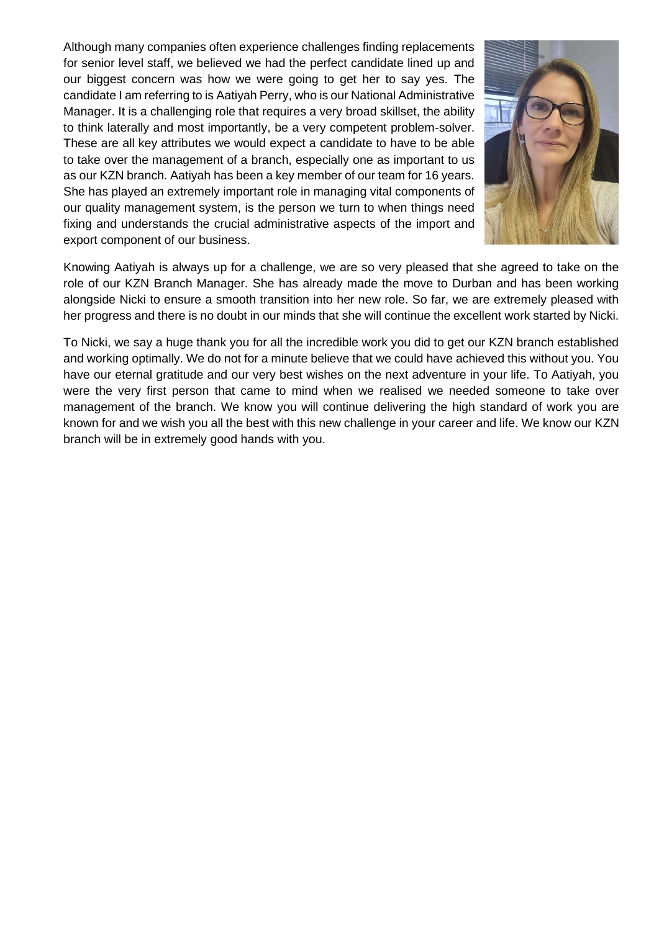Although many companies often experience challenges finding replacements for senior level staff, we believed we had the perfect candidate lined up and our biggest concern was how we were going to get her to say yes. The candidate I am referring to is Aatiyah Perry, who is our National Administrative Manager. It is a challenging role that requires a very broad skillset, the ability to think laterally and most importantly, be a very competent problem-solver. These are all key attributes we would expect a candidate to have to be able to take over the management of a branch, especially one as important to us as our KZN branch. Aatiyah has been a key member of our team for 16 years. She has played an extremely important role in managing vital components of our quality management system, is the person we turn to when things need fixing and understands the crucial administrative aspects of the import and export component of our business.



Knowing Aatiyah is always up for a challenge, we are so very pleased that she agreed to take on the role of our KZN Branch Manager. She has already made the move to Durban and has been working alongside Nicki to ensure a smooth transition into her new role. So far, we are extremely pleased with her progress and there is no doubt in our minds that she will continue the excellent work started by Nicki.

To Nicki, we say a huge thank you for all the incredible work you did to get our KZN branch established and working optimally. We do not for a minute believe that we could have achieved this without you. You have our eternal gratitude and our very best wishes on the next adventure in your life. To Aatiyah, you were the very first person that came to mind when we realised we needed someone to take over management of the branch. We know you will continue delivering the high standard of work you are known for and we wish you all the best with this new challenge in your career and life. We know our KZN branch will be in extremely good hands with you.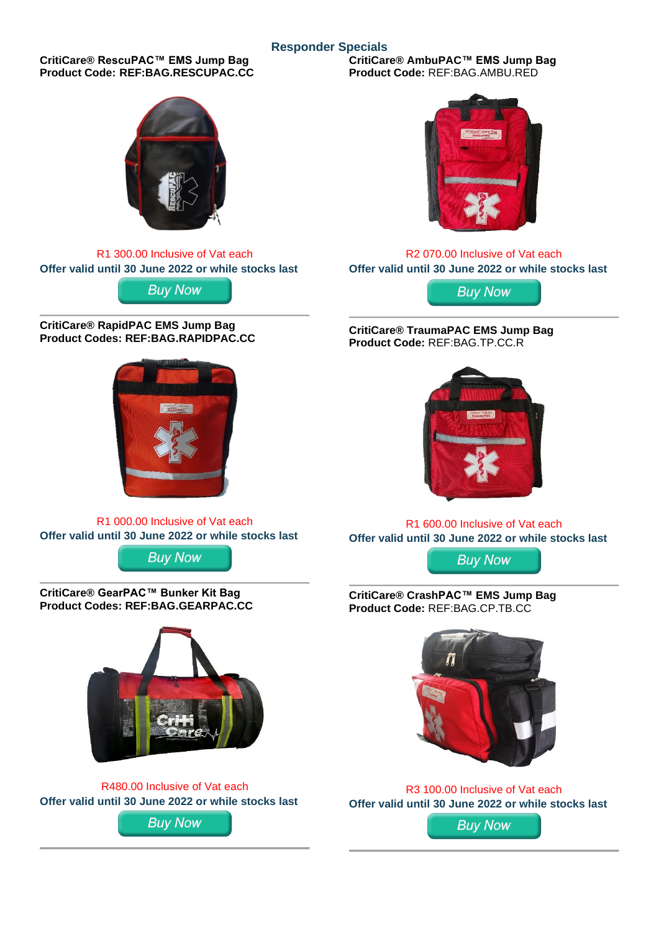## **Responder Specials**

**CritiCare® RescuPAC™ EMS Jump Bag Product Code: REF:BAG.RESCUPAC.CC**



R1 300.00 Inclusive of Vat each **Offer valid until 30 June 2022 or while stocks last**

**Buy Now** 

**CritiCare® RapidPAC EMS Jump Bag Product Codes: REF:BAG.RAPIDPAC.CC**



R1 000.00 Inclusive of Vat each **Offer valid u[ntil 30 June](https://be-safe.co.za/product/criticare-rapidpac-ems-jump-bag/) 2022 or while stocks last**

**Buy Now** 

**CritiCare® GearPAC™ Bunker Kit Bag Product Codes: REF:BAG.GEARPAC.CC**



R480.00 Inclusive of Vat each **Offer valid u[ntil 30 June](https://be-safe.co.za/product/criticare-gearpac-tog-bag/) 2022 or while stocks last**

**Buy Now** 

**CritiCare® AmbuPAC™ EMS Jump Bag Product Code:** REF:BAG.AMBU.RED



R2 070.00 Inclusive of Vat each **Offer valid until 30 June 2022 or while stocks last**

**Buy Now** 

**CritiCare® TraumaPAC EMS Jump Bag Product Code:** REF:BAG.TP.CC.R



R1 600.00 Inclusive of Vat each **Offer valid until 30 June 2022 or while stocks last**

**Buy Now** 

**CritiCare® CrashPAC™ EMS Jump Bag Product Code:** REF:BAG.CP.TB.CC



R3 100.00 Inclusive of Vat each **Offer valid until 30 June 2022 or while stocks last**

**Buy Now**